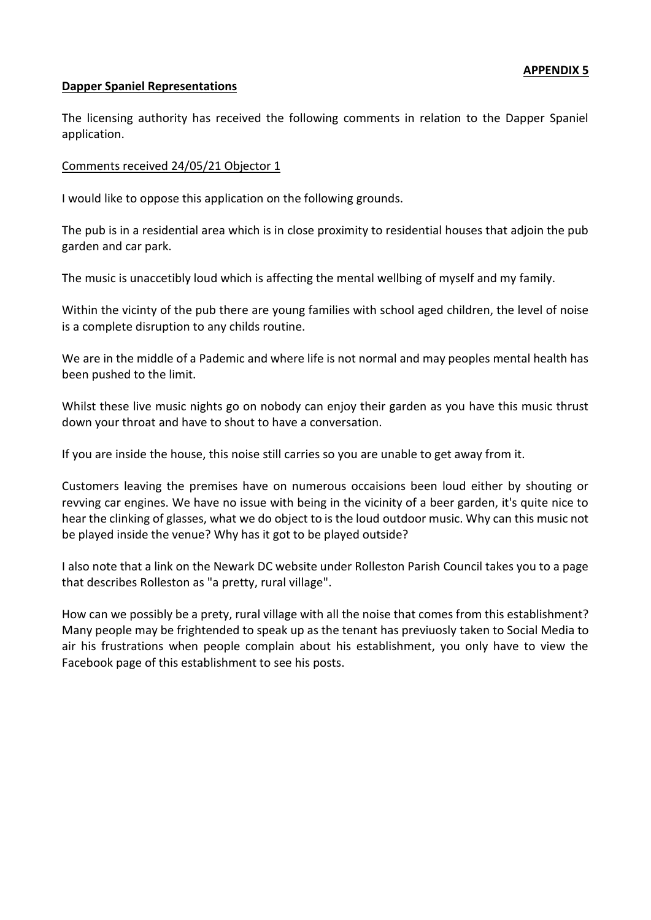#### **Dapper Spaniel Representations**

The licensing authority has received the following comments in relation to the Dapper Spaniel application.

#### Comments received 24/05/21 Objector 1

I would like to oppose this application on the following grounds.

The pub is in a residential area which is in close proximity to residential houses that adjoin the pub garden and car park.

The music is unaccetibly loud which is affecting the mental wellbing of myself and my family.

Within the vicinty of the pub there are young families with school aged children, the level of noise is a complete disruption to any childs routine.

We are in the middle of a Pademic and where life is not normal and may peoples mental health has been pushed to the limit.

Whilst these live music nights go on nobody can enjoy their garden as you have this music thrust down your throat and have to shout to have a conversation.

If you are inside the house, this noise still carries so you are unable to get away from it.

Customers leaving the premises have on numerous occaisions been loud either by shouting or revving car engines. We have no issue with being in the vicinity of a beer garden, it's quite nice to hear the clinking of glasses, what we do object to is the loud outdoor music. Why can this music not be played inside the venue? Why has it got to be played outside?

I also note that a link on the Newark DC website under Rolleston Parish Council takes you to a page that describes Rolleston as "a pretty, rural village".

How can we possibly be a prety, rural village with all the noise that comes from this establishment? Many people may be frightended to speak up as the tenant has previuosly taken to Social Media to air his frustrations when people complain about his establishment, you only have to view the Facebook page of this establishment to see his posts.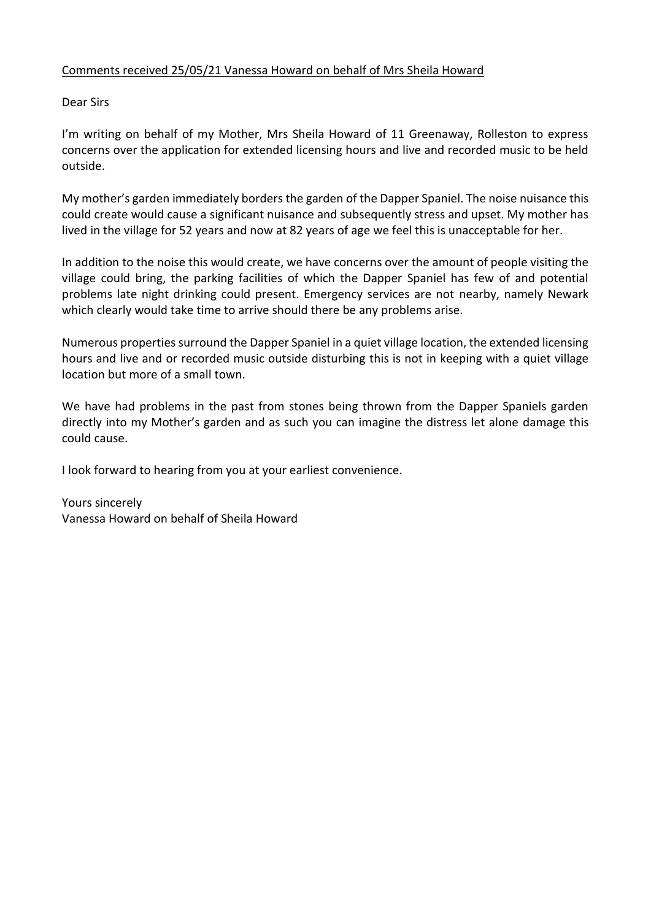# Comments received 25/05/21 Vanessa Howard on behalf of Mrs Sheila Howard

Dear Sirs

I'm writing on behalf of my Mother, Mrs Sheila Howard of 11 Greenaway, Rolleston to express concerns over the application for extended licensing hours and live and recorded music to be held outside.

My mother's garden immediately borders the garden of the Dapper Spaniel. The noise nuisance this could create would cause a significant nuisance and subsequently stress and upset. My mother has lived in the village for 52 years and now at 82 years of age we feel this is unacceptable for her.

In addition to the noise this would create, we have concerns over the amount of people visiting the village could bring, the parking facilities of which the Dapper Spaniel has few of and potential problems late night drinking could present. Emergency services are not nearby, namely Newark which clearly would take time to arrive should there be any problems arise.

Numerous properties surround the Dapper Spaniel in a quiet village location, the extended licensing hours and live and or recorded music outside disturbing this is not in keeping with a quiet village location but more of a small town.

We have had problems in the past from stones being thrown from the Dapper Spaniels garden directly into my Mother's garden and as such you can imagine the distress let alone damage this could cause.

I look forward to hearing from you at your earliest convenience.

Yours sincerely Vanessa Howard on behalf of Sheila Howard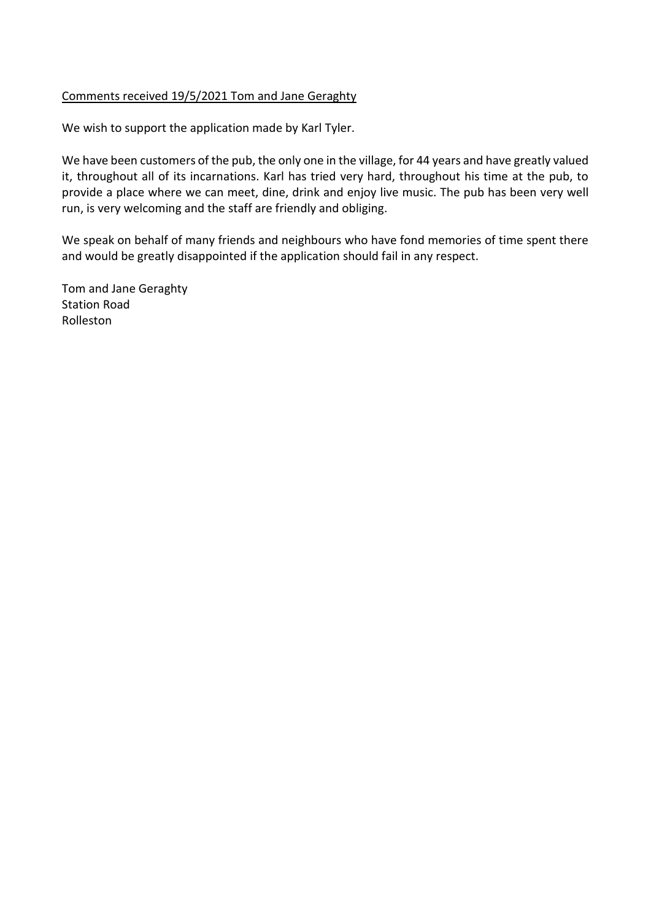# Comments received 19/5/2021 Tom and Jane Geraghty

We wish to support the application made by Karl Tyler.

We have been customers of the pub, the only one in the village, for 44 years and have greatly valued it, throughout all of its incarnations. Karl has tried very hard, throughout his time at the pub, to provide a place where we can meet, dine, drink and enjoy live music. The pub has been very well run, is very welcoming and the staff are friendly and obliging.

We speak on behalf of many friends and neighbours who have fond memories of time spent there and would be greatly disappointed if the application should fail in any respect.

Tom and Jane Geraghty Station Road Rolleston